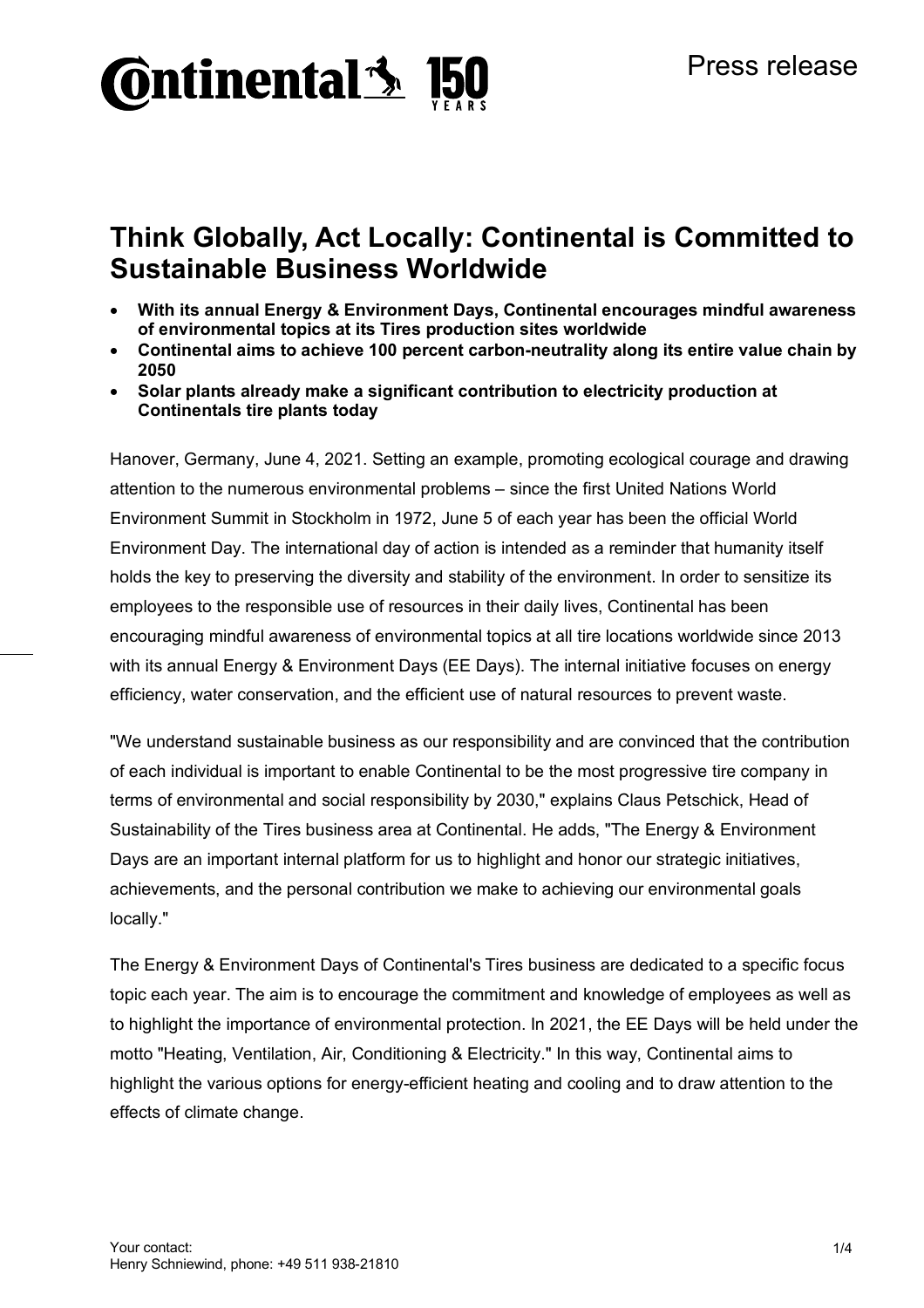

## **Think Globally, Act Locally: Continental is Committed to Sustainable Business Worldwide**

- **With its annual Energy & Environment Days, Continental encourages mindful awareness of environmental topics at its Tires production sites worldwide**
- **Continental aims to achieve 100 percent carbon-neutrality along its entire value chain by 2050**
- **Solar plants already make a significant contribution to electricity production at Continentals tire plants today**

Hanover, Germany, June 4, 2021. Setting an example, promoting ecological courage and drawing attention to the numerous environmental problems – since the first United Nations World Environment Summit in Stockholm in 1972, June 5 of each year has been the official World Environment Day. The international day of action is intended as a reminder that humanity itself holds the key to preserving the diversity and stability of the environment. In order to sensitize its employees to the responsible use of resources in their daily lives, Continental has been encouraging mindful awareness of environmental topics at all tire locations worldwide since 2013 with its annual Energy & Environment Days (EE Days). The internal initiative focuses on energy efficiency, water conservation, and the efficient use of natural resources to prevent waste.

"We understand sustainable business as our responsibility and are convinced that the contribution of each individual is important to enable Continental to be the most progressive tire company in terms of environmental and social responsibility by 2030," explains Claus Petschick, Head of Sustainability of the Tires business area at Continental. He adds, "The Energy & Environment Days are an important internal platform for us to highlight and honor our strategic initiatives, achievements, and the personal contribution we make to achieving our environmental goals locally."

The Energy & Environment Days of Continental's Tires business are dedicated to a specific focus topic each year. The aim is to encourage the commitment and knowledge of employees as well as to highlight the importance of environmental protection. In 2021, the EE Days will be held under the motto "Heating, Ventilation, Air, Conditioning & Electricity." In this way, Continental aims to highlight the various options for energy-efficient heating and cooling and to draw attention to the effects of climate change.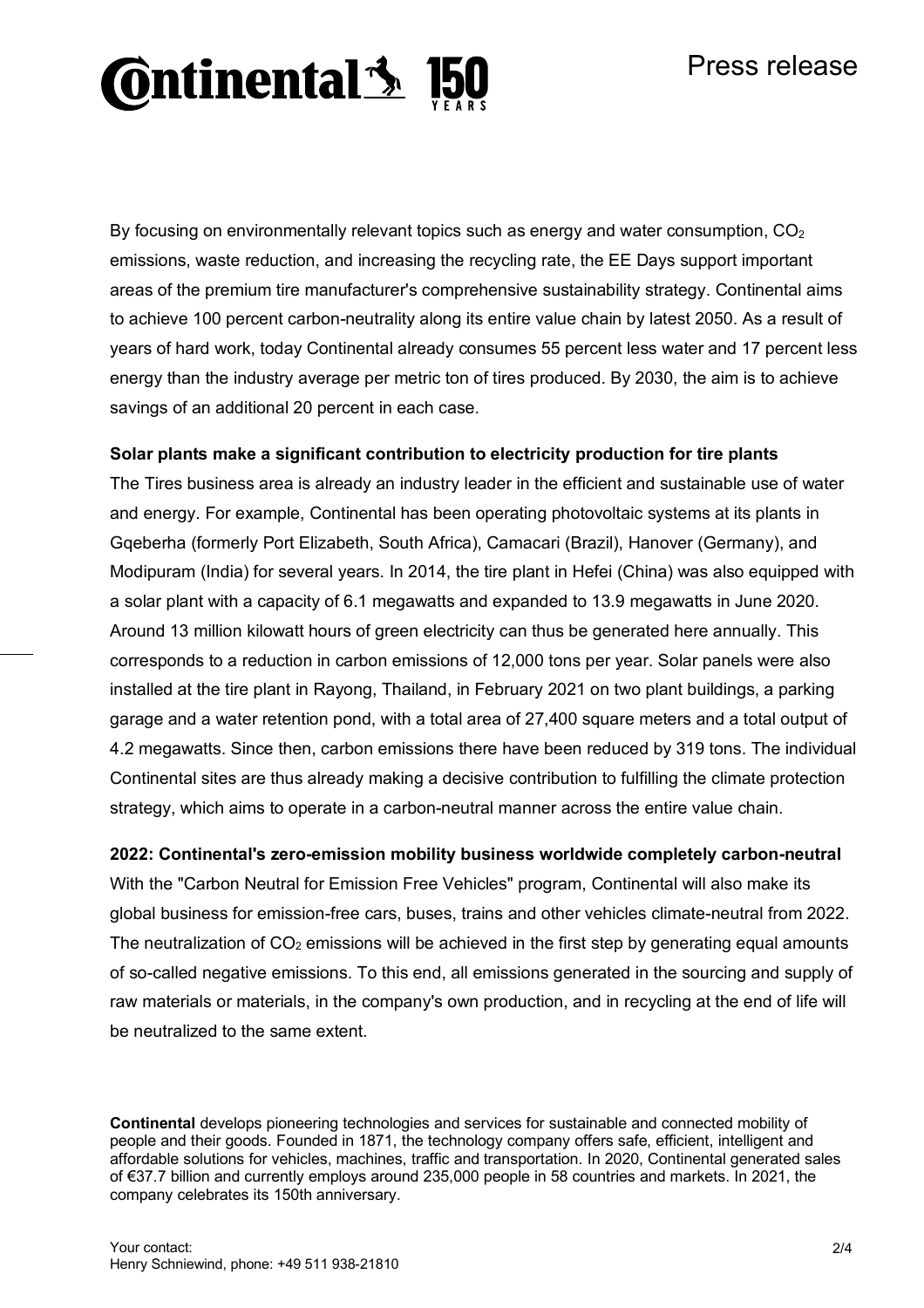### Press release

# **Ontinental 3**

By focusing on environmentally relevant topics such as energy and water consumption,  $CO<sub>2</sub>$ emissions, waste reduction, and increasing the recycling rate, the EE Days support important areas of the premium tire manufacturer's comprehensive sustainability strategy. Continental aims to achieve 100 percent carbon-neutrality along its entire value chain by latest 2050. As a result of years of hard work, today Continental already consumes 55 percent less water and 17 percent less energy than the industry average per metric ton of tires produced. By 2030, the aim is to achieve savings of an additional 20 percent in each case.

#### **Solar plants make a significant contribution to electricity production for tire plants**

The Tires business area is already an industry leader in the efficient and sustainable use of water and energy. For example, Continental has been operating photovoltaic systems at its plants in Gqeberha (formerly Port Elizabeth, South Africa), Camacari (Brazil), Hanover (Germany), and Modipuram (India) for several years. In 2014, the tire plant in Hefei (China) was also equipped with a solar plant with a capacity of 6.1 megawatts and expanded to 13.9 megawatts in June 2020. Around 13 million kilowatt hours of green electricity can thus be generated here annually. This corresponds to a reduction in carbon emissions of 12,000 tons per year. Solar panels were also installed at the tire plant in Rayong, Thailand, in February 2021 on two plant buildings, a parking garage and a water retention pond, with a total area of 27,400 square meters and a total output of 4.2 megawatts. Since then, carbon emissions there have been reduced by 319 tons. The individual Continental sites are thus already making a decisive contribution to fulfilling the climate protection strategy, which aims to operate in a carbon-neutral manner across the entire value chain.

#### **2022: Continental's zero-emission mobility business worldwide completely carbon-neutral**

With the "Carbon Neutral for Emission Free Vehicles" program, Continental will also make its global business for emission-free cars, buses, trains and other vehicles climate-neutral from 2022. The neutralization of  $CO<sub>2</sub>$  emissions will be achieved in the first step by generating equal amounts of so-called negative emissions. To this end, all emissions generated in the sourcing and supply of raw materials or materials, in the company's own production, and in recycling at the end of life will be neutralized to the same extent.

**Continental** develops pioneering technologies and services for sustainable and connected mobility of people and their goods. Founded in 1871, the technology company offers safe, efficient, intelligent and affordable solutions for vehicles, machines, traffic and transportation. In 2020, Continental generated sales of €37.7 billion and currently employs around 235,000 people in 58 countries and markets. In 2021, the company celebrates its 150th anniversary.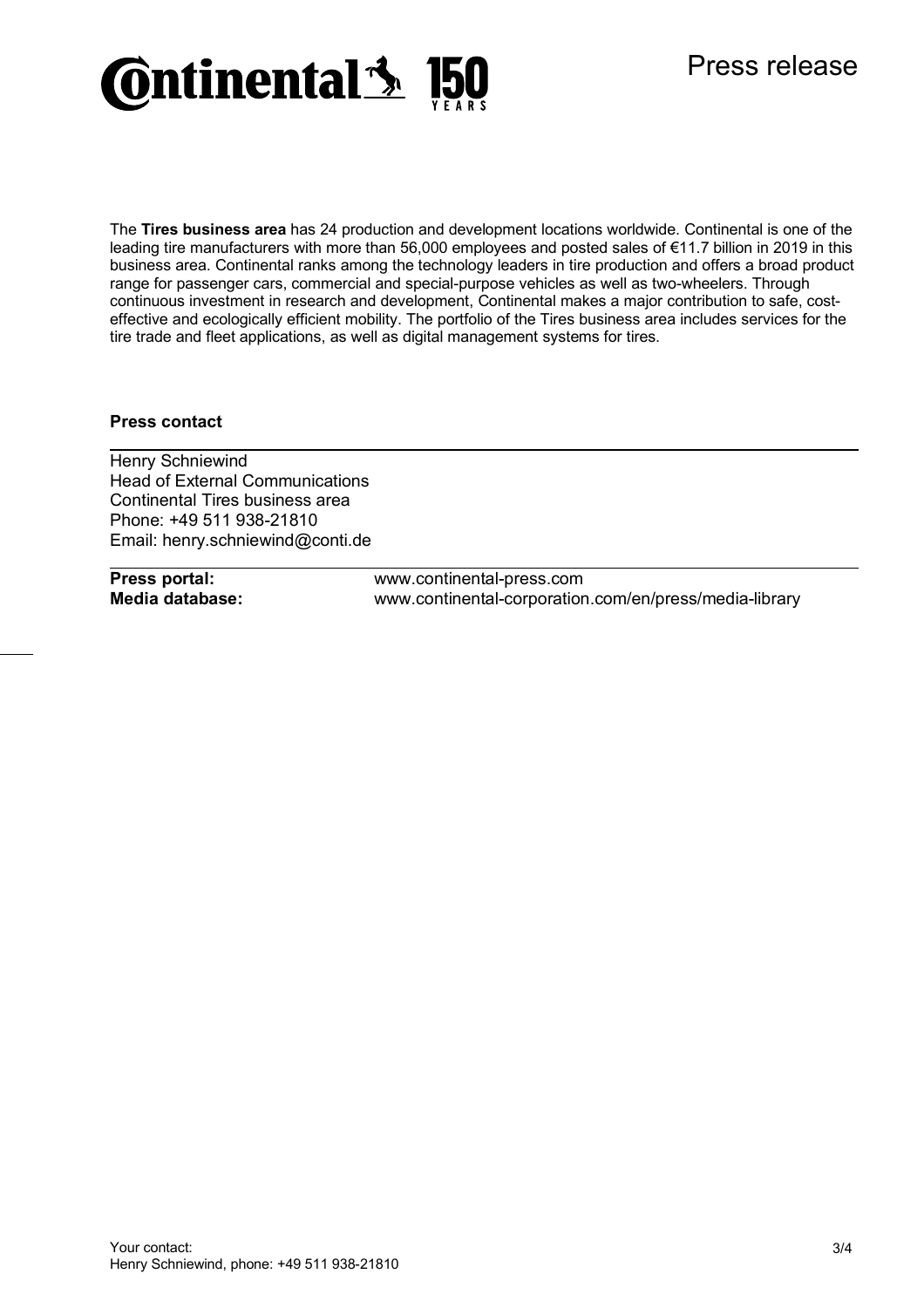

The **Tires business area** has 24 production and development locations worldwide. Continental is one of the leading tire manufacturers with more than 56,000 employees and posted sales of €11.7 billion in 2019 in this business area. Continental ranks among the technology leaders in tire production and offers a broad product range for passenger cars, commercial and special-purpose vehicles as well as two-wheelers. Through continuous investment in research and development, Continental makes a major contribution to safe, costeffective and ecologically efficient mobility. The portfolio of the Tires business area includes services for the tire trade and fleet applications, as well as digital management systems for tires.

#### **Press contact**

Henry Schniewind Head of External Communications Continental Tires business area Phone: +49 511 938-21810 Email: henry.schniewind@conti.de

**Press portal:** www.continental-press.com **Media database:** www.continental-corporation.com/en/press/media-library